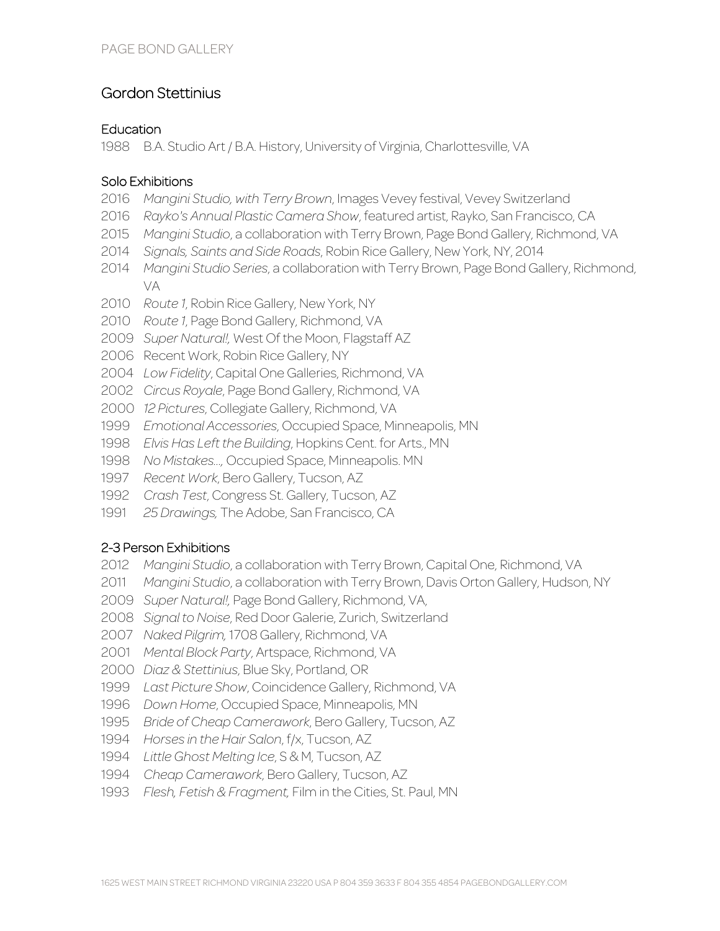# Gordon Stettinius

#### **Education**

B.A. Studio Art / B.A. History, University of Virginia, Charlottesville, VA

### Solo Exhibitions

- *Mangini Studio, with Terry Brown*, Images Vevey festival, Vevey Switzerland
- *Rayko's Annual Plastic Camera Show*, featured artist, Rayko, San Francisco, CA
- *Mangini Studio*, a collaboration with Terry Brown, Page Bond Gallery, Richmond, VA
- *Signals, Saints and Side Roads*, Robin Rice Gallery, New York, NY, 2014
- *Mangini Studio Series*, a collaboration with Terry Brown, Page Bond Gallery, Richmond, VA
- *Route 1*, Robin Rice Gallery, New York, NY
- *Route 1*, Page Bond Gallery, Richmond, VA
- *Super Natural!,* West Of the Moon, Flagstaff AZ
- Recent Work, Robin Rice Gallery, NY
- *Low Fidelity*, Capital One Galleries, Richmond, VA
- *Circus Royale*, Page Bond Gallery, Richmond, VA
- *12 Pictures*, Collegiate Gallery, Richmond, VA
- *Emotional Accessories*, Occupied Space, Minneapolis, MN
- *Elvis Has Left the Building*, Hopkins Cent. for Arts., MN
- *No Mistakes...,* Occupied Space, Minneapolis. MN
- *Recent Work*, Bero Gallery, Tucson, AZ
- *Crash Test*, Congress St. Gallery, Tucson, AZ
- *25 Drawings,* The Adobe, San Francisco, CA

## 2-3 Person Exhibitions

- *Mangini Studio*, a collaboration with Terry Brown, Capital One, Richmond, VA
- *Mangini Studio*, a collaboration with Terry Brown, Davis Orton Gallery, Hudson, NY
- *Super Natural!,* Page Bond Gallery, Richmond, VA,
- *Signal to Noise*, Red Door Galerie, Zurich, Switzerland
- *Naked Pilgrim,* 1708 Gallery, Richmond, VA
- *Mental Block Party*, Artspace, Richmond, VA
- *Diaz & Stettinius*, Blue Sky, Portland, OR
- *Last Picture Show*, Coincidence Gallery, Richmond, VA
- *Down Home*, Occupied Space, Minneapolis, MN
- *Bride of Cheap Camerawork*, Bero Gallery, Tucson, AZ
- *Horses in the Hair Salon*, f/x, Tucson, AZ
- *Little Ghost Melting Ice*, S & M, Tucson, AZ
- *Cheap Camerawork*, Bero Gallery, Tucson, AZ
- *Flesh, Fetish & Fragment,* Film in the Cities, St. Paul, MN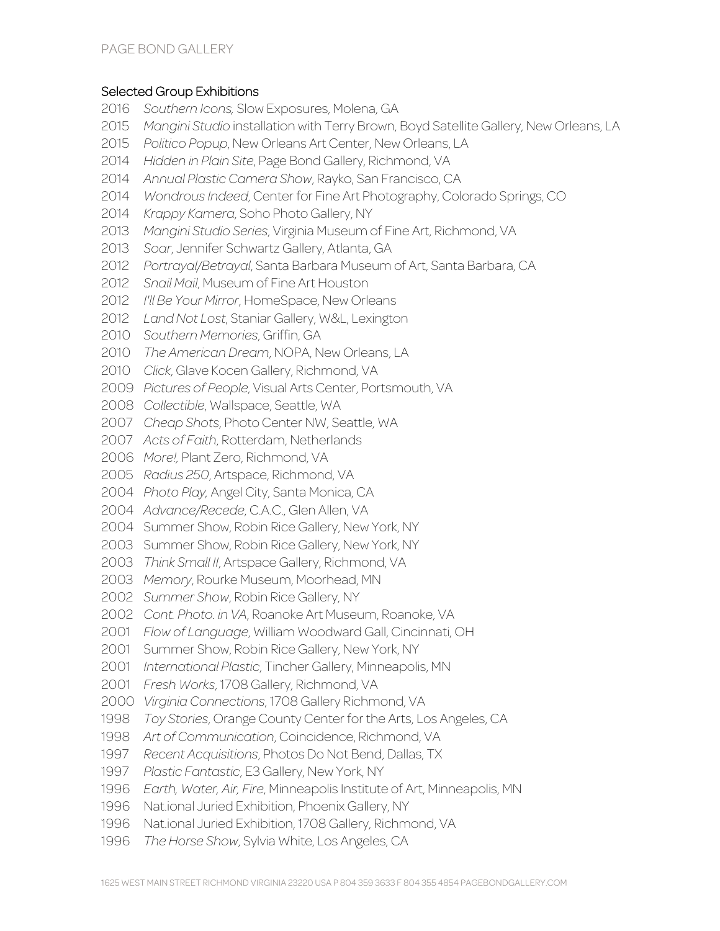#### Selected Group Exhibitions

- *Southern Icons,* Slow Exposures, Molena, GA
- *Mangini Studio* installation with Terry Brown, Boyd Satellite Gallery, New Orleans, LA
- *Politico Popup*, New Orleans Art Center, New Orleans, LA
- *Hidden in Plain Site*, Page Bond Gallery, Richmond, VA
- *Annual Plastic Camera Show*, Rayko, San Francisco, CA
- *Wondrous Indeed*, Center for Fine Art Photography, Colorado Springs, CO
- *Krappy Kamera*, Soho Photo Gallery, NY
- *Mangini Studio Series*, Virginia Museum of Fine Art, Richmond, VA
- *Soar*, Jennifer Schwartz Gallery, Atlanta, GA
- *Portrayal/Betrayal*, Santa Barbara Museum of Art, Santa Barbara, CA
- *Snail Mail*, Museum of Fine Art Houston
- *I'll Be Your Mirror*, HomeSpace, New Orleans
- *Land Not Lost*, Staniar Gallery, W&L, Lexington
- *Southern Memories*, Griffin, GA
- *The American Dream*, NOPA, New Orleans, LA
- *Click*, Glave Kocen Gallery, Richmond, VA
- *Pictures of People*, Visual Arts Center, Portsmouth, VA
- *Collectible*, Wallspace, Seattle, WA
- *Cheap Shots*, Photo Center NW, Seattle, WA
- *Acts of Faith*, Rotterdam, Netherlands
- *More!,* Plant Zero, Richmond, VA
- *Radius 250*, Artspace, Richmond, VA
- *Photo Play,* Angel City, Santa Monica, CA
- *Advance/Recede*, C.A.C., Glen Allen, VA
- Summer Show, Robin Rice Gallery, New York, NY
- Summer Show, Robin Rice Gallery, New York, NY
- *Think Small II*, Artspace Gallery, Richmond, VA
- *Memory*, Rourke Museum, Moorhead, MN
- *Summer Show*, Robin Rice Gallery, NY
- *Cont. Photo. in VA*, Roanoke Art Museum, Roanoke, VA
- *Flow of Language*, William Woodward Gall, Cincinnati, OH
- Summer Show, Robin Rice Gallery, New York, NY
- *International Plastic*, Tincher Gallery, Minneapolis, MN
- *Fresh Works*, 1708 Gallery, Richmond, VA
- *Virginia Connections*, 1708 Gallery Richmond, VA
- *Toy Stories*, Orange County Center for the Arts, Los Angeles, CA
- *Art of Communication*, Coincidence, Richmond, VA
- *Recent Acquisitions*, Photos Do Not Bend, Dallas, TX
- *Plastic Fantastic*, E3 Gallery, New York, NY
- *Earth, Water, Air, Fire*, Minneapolis Institute of Art, Minneapolis, MN
- Nat.ional Juried Exhibition, Phoenix Gallery, NY
- Nat.ional Juried Exhibition, 1708 Gallery, Richmond, VA
- *The Horse Show*, Sylvia White, Los Angeles, CA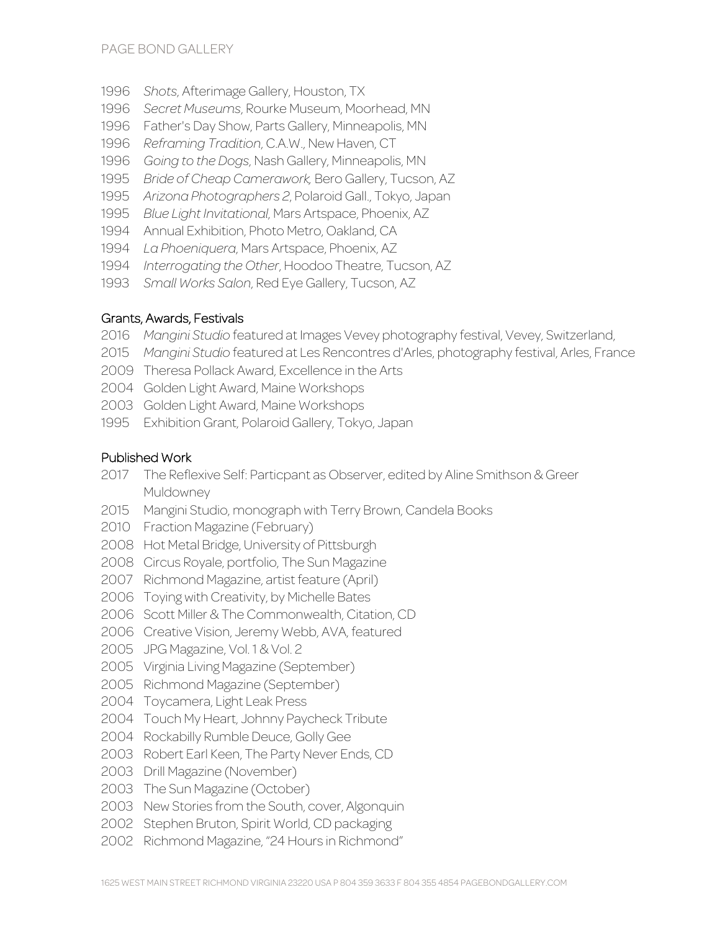- *Shots*, Afterimage Gallery, Houston, TX
- *Secret Museums*, Rourke Museum, Moorhead, MN
- Father's Day Show, Parts Gallery, Minneapolis, MN
- *Reframing Tradition*, C.A.W., New Haven, CT
- *Going to the Dogs*, Nash Gallery, Minneapolis, MN
- *Bride of Cheap Camerawork,* Bero Gallery, Tucson, AZ
- *Arizona Photographers 2*, Polaroid Gall., Tokyo, Japan
- *Blue Light Invitational*, Mars Artspace, Phoenix, AZ
- Annual Exhibition, Photo Metro, Oakland, CA
- *La Phoeniquera*, Mars Artspace, Phoenix, AZ
- *Interrogating the Other*, Hoodoo Theatre, Tucson, AZ
- *Small Works Salon*, Red Eye Gallery, Tucson, AZ

#### Grants, Awards, Festivals

- *Mangini Studio* featured at Images Vevey photography festival, Vevey, Switzerland,
- *Mangini Studio* featured at Les Rencontres d'Arles, photography festival, Arles, France
- Theresa Pollack Award, Excellence in the Arts
- Golden Light Award, Maine Workshops
- Golden Light Award, Maine Workshops
- Exhibition Grant, Polaroid Gallery, Tokyo, Japan

#### Published Work

- The Reflexive Self: Particpant as Observer, edited by Aline Smithson & Greer Muldowney
- Mangini Studio, monograph with Terry Brown, Candela Books
- Fraction Magazine (February)
- Hot Metal Bridge, University of Pittsburgh
- Circus Royale, portfolio, The Sun Magazine
- Richmond Magazine, artist feature (April)
- Toying with Creativity, by Michelle Bates
- Scott Miller & The Commonwealth, Citation, CD
- Creative Vision, Jeremy Webb, AVA, featured
- JPG Magazine, Vol. 1 & Vol. 2
- Virginia Living Magazine (September)
- Richmond Magazine (September)
- Toycamera, Light Leak Press
- Touch My Heart, Johnny Paycheck Tribute
- Rockabilly Rumble Deuce, Golly Gee
- Robert Earl Keen, The Party Never Ends, CD
- Drill Magazine (November)
- The Sun Magazine (October)
- New Stories from the South, cover, Algonquin
- Stephen Bruton, Spirit World, CD packaging
- Richmond Magazine, "24 Hours in Richmond"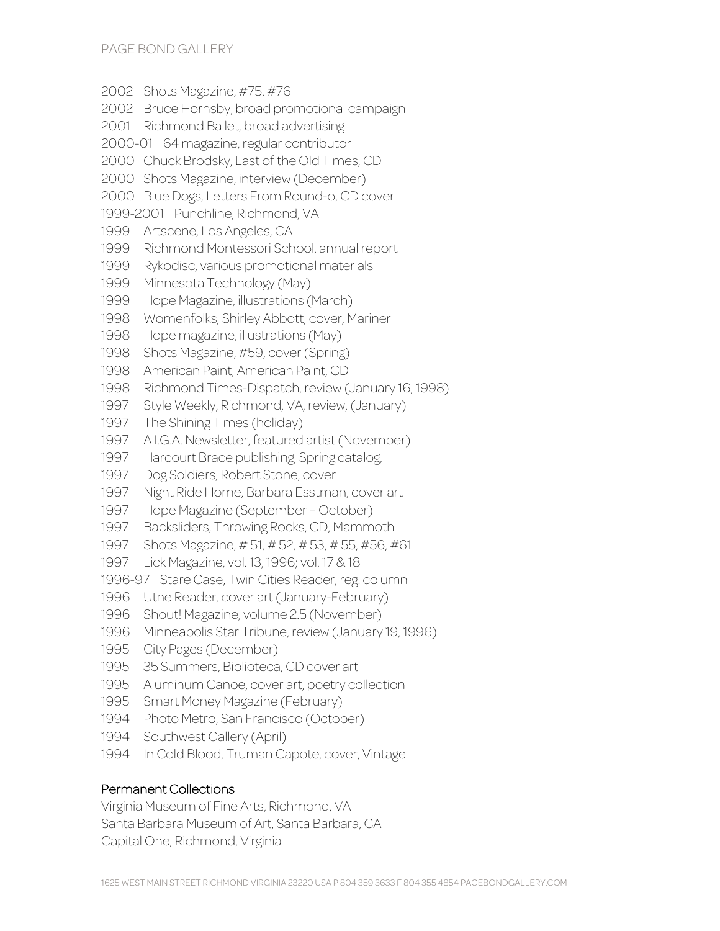Shots Magazine, #75, #76 Bruce Hornsby, broad promotional campaign Richmond Ballet, broad advertising 2000-01 64 magazine, regular contributor Chuck Brodsky, Last of the Old Times, CD Shots Magazine, interview (December) Blue Dogs, Letters From Round-o, CD cover 1999-2001 Punchline, Richmond, VA Artscene, Los Angeles, CA Richmond Montessori School, annual report Rykodisc, various promotional materials Minnesota Technology (May) Hope Magazine, illustrations (March) Womenfolks, Shirley Abbott, cover, Mariner Hope magazine, illustrations (May) Shots Magazine, #59, cover (Spring) American Paint, American Paint, CD Richmond Times-Dispatch, review (January 16, 1998) Style Weekly, Richmond, VA, review, (January) The Shining Times (holiday) A.I.G.A. Newsletter, featured artist (November) Harcourt Brace publishing, Spring catalog, Dog Soldiers, Robert Stone, cover Night Ride Home, Barbara Esstman, cover art Hope Magazine (September – October) Backsliders, Throwing Rocks, CD, Mammoth Shots Magazine, # 51, # 52, # 53, # 55, #56, #61 Lick Magazine, vol. 13, 1996; vol. 17 & 18 1996-97 Stare Case, Twin Cities Reader, reg. column Utne Reader, cover art (January-February) Shout! Magazine, volume 2.5 (November) Minneapolis Star Tribune, review (January 19, 1996) City Pages (December) 35 Summers, Biblioteca, CD cover art Aluminum Canoe, cover art, poetry collection Smart Money Magazine (February) Photo Metro, San Francisco (October) Southwest Gallery (April) In Cold Blood, Truman Capote, cover, Vintage

#### Permanent Collections

Virginia Museum of Fine Arts, Richmond, VA Santa Barbara Museum of Art, Santa Barbara, CA Capital One, Richmond, Virginia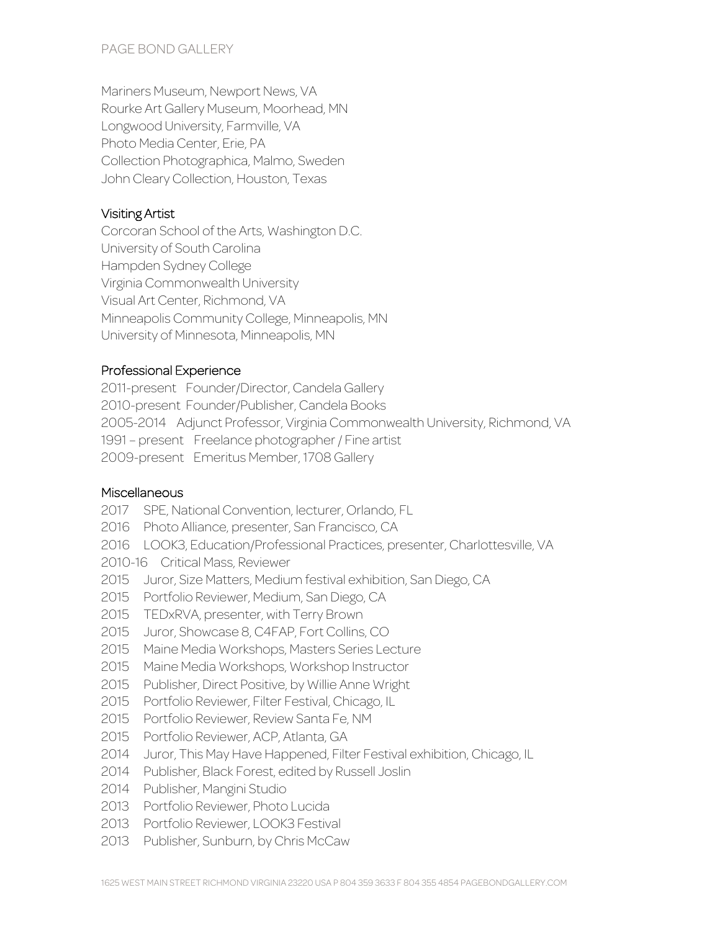Mariners Museum, Newport News, VA Rourke Art Gallery Museum, Moorhead, MN Longwood University, Farmville, VA Photo Media Center, Erie, PA Collection Photographica, Malmo, Sweden John Cleary Collection, Houston, Texas

## Visiting Artist

Corcoran School of the Arts, Washington D.C. University of South Carolina Hampden Sydney College Virginia Commonwealth University Visual Art Center, Richmond, VA Minneapolis Community College, Minneapolis, MN University of Minnesota, Minneapolis, MN

## Professional Experience

2011-present Founder/Director, Candela Gallery 2010-present Founder/Publisher, Candela Books 2005-2014 Adjunct Professor, Virginia Commonwealth University, Richmond, VA 1991 – present Freelance photographer / Fine artist 2009-present Emeritus Member, 1708 Gallery

#### **Miscellaneous**

- 2017 SPE, National Convention, lecturer, Orlando, FL
- 2016 Photo Alliance, presenter, San Francisco, CA
- 2016 LOOK3, Education/Professional Practices, presenter, Charlottesville, VA
- 2010-16 Critical Mass, Reviewer
- 2015 Juror, Size Matters, Medium festival exhibition, San Diego, CA
- 2015 Portfolio Reviewer, Medium, San Diego, CA
- 2015 TEDxRVA, presenter, with Terry Brown
- 2015 Juror, Showcase 8, C4FAP, Fort Collins, CO
- 2015 Maine Media Workshops, Masters Series Lecture
- 2015 Maine Media Workshops, Workshop Instructor
- 2015 Publisher, Direct Positive, by Willie Anne Wright
- 2015 Portfolio Reviewer, Filter Festival, Chicago, IL
- 2015 Portfolio Reviewer, Review Santa Fe, NM
- 2015 Portfolio Reviewer, ACP, Atlanta, GA
- 2014 Juror, This May Have Happened, Filter Festival exhibition, Chicago, IL
- 2014 Publisher, Black Forest, edited by Russell Joslin
- 2014 Publisher, Mangini Studio
- 2013 Portfolio Reviewer, Photo Lucida
- 2013 Portfolio Reviewer, LOOK3 Festival
- 2013 Publisher, Sunburn, by Chris McCaw